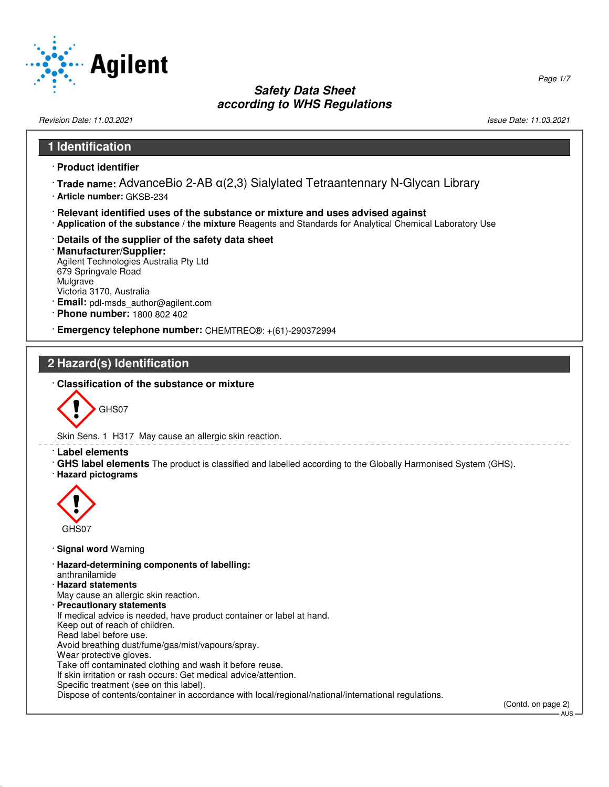

Revision Date: 11.03.2021 2012 12:03:2021 20:03:20:21 20:03:20:21 20:03:20:21 20:03:20:21 20:03:20:21 20:03:20:21

**1 Identification**

52.0.1.1

Page 1/7

# · **Product identifier** · **Trade name:** AdvanceBio 2-AB α(2,3) Sialylated Tetraantennary N-Glycan Library · **Article number:** GKSB-234 · **Relevant identified uses of the substance or mixture and uses advised against** · **Application of the substance / the mixture** Reagents and Standards for Analytical Chemical Laboratory Use · **Details of the supplier of the safety data sheet** · **Manufacturer/Supplier:** Agilent Technologies Australia Pty Ltd 679 Springvale Road Mulgrave Victoria 3170, Australia · **Email:** pdl-msds\_author@agilent.com · **Phone number:** 1800 802 402 · **Emergency telephone number:** CHEMTREC®: +(61)-290372994 **2 Hazard(s) Identification** · **Classification of the substance or mixture** GHS07 Skin Sens. 1 H317 May cause an allergic skin reaction. · **Label elements** · **GHS label elements** The product is classified and labelled according to the Globally Harmonised System (GHS). · **Hazard pictograms**  $\langle \cdot \rangle$ GHS07 · **Signal word** Warning · **Hazard-determining components of labelling:** anthranilamide · **Hazard statements** May cause an allergic skin reaction. · **Precautionary statements** If medical advice is needed, have product container or label at hand. Keep out of reach of children. Read label before use. Avoid breathing dust/fume/gas/mist/vapours/spray. Wear protective gloves. Take off contaminated clothing and wash it before reuse. If skin irritation or rash occurs: Get medical advice/attention. Specific treatment (see on this label). Dispose of contents/container in accordance with local/regional/national/international regulations. (Contd. on page 2) AUS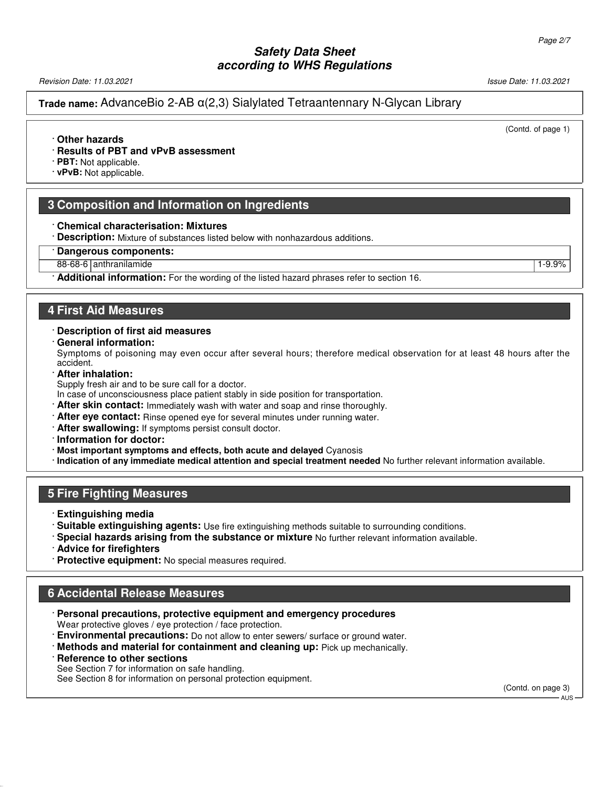Revision Date: 11.03.2021 Issue Date: 11.03.2021

**Trade name:** AdvanceBio 2-AB α(2,3) Sialylated Tetraantennary N-Glycan Library

#### (Contd. of page 1)

#### · **Other hazards**

· **Results of PBT and vPvB assessment**

· **PBT:** Not applicable.

· **vPvB:** Not applicable.

#### **3 Composition and Information on Ingredients**

- · **Chemical characterisation: Mixtures**
- · **Description:** Mixture of substances listed below with nonhazardous additions.
- · **Dangerous components:**
- 88-68-6 | anthranilamide | 1-9.9% | 1-9.9% | 1-9.9% | 1-9.9% | 1-9.9% | 1-9.9% | 1-9.9% | 1-9.9% | 1-9.9% | 1-

· **Additional information:** For the wording of the listed hazard phrases refer to section 16.

#### **4 First Aid Measures**

- · **Description of first aid measures**
- · **General information:**

Symptoms of poisoning may even occur after several hours; therefore medical observation for at least 48 hours after the accident.

· **After inhalation:**

Supply fresh air and to be sure call for a doctor.

- In case of unconsciousness place patient stably in side position for transportation.
- · **After skin contact:** Immediately wash with water and soap and rinse thoroughly.
- · **After eye contact:** Rinse opened eye for several minutes under running water.
- · **After swallowing:** If symptoms persist consult doctor.

· **Information for doctor:**

- · **Most important symptoms and effects, both acute and delayed** Cyanosis
- · **Indication of any immediate medical attention and special treatment needed** No further relevant information available.

#### **5 Fire Fighting Measures**

- · **Extinguishing media**
- · **Suitable extinguishing agents:** Use fire extinguishing methods suitable to surrounding conditions.
- · **Special hazards arising from the substance or mixture** No further relevant information available.
- · **Advice for firefighters**
- · **Protective equipment:** No special measures required.

### **6 Accidental Release Measures**

- · **Personal precautions, protective equipment and emergency procedures** Wear protective gloves / eye protection / face protection.
- · **Environmental precautions:** Do not allow to enter sewers/ surface or ground water.
- · **Methods and material for containment and cleaning up:** Pick up mechanically.

# · **Reference to other sections**

52.0.1.1

See Section 7 for information on safe handling. See Section 8 for information on personal protection equipment.

(Contd. on page 3) - ALIS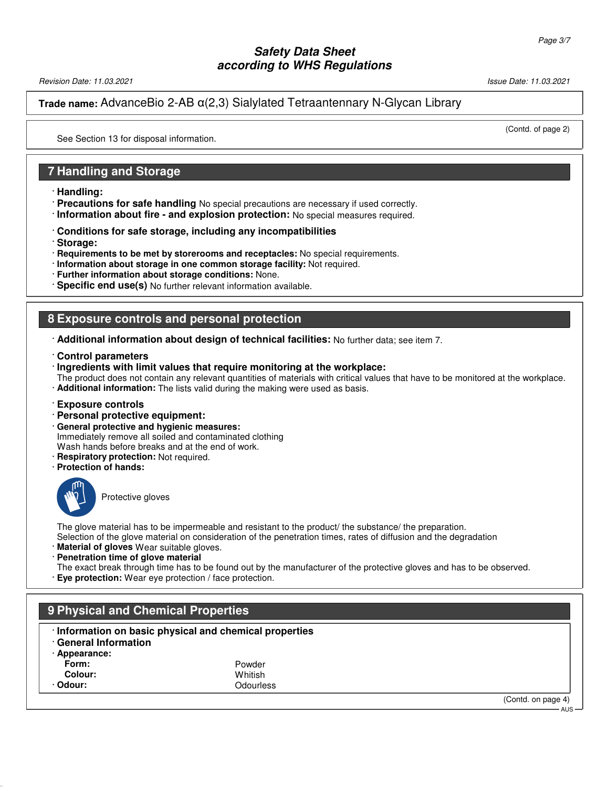Revision Date: 11.03.2021 **Issue Date: 11.03.2021** Issue Date: 11.03.2021

**Trade name:** AdvanceBio 2-AB α(2,3) Sialylated Tetraantennary N-Glycan Library

(Contd. of page 2)

See Section 13 for disposal information.

### **7 Handling and Storage**

- · **Handling:**
- · **Precautions for safe handling** No special precautions are necessary if used correctly.
- · **Information about fire and explosion protection:** No special measures required.
- · **Conditions for safe storage, including any incompatibilities**
- · **Storage:**
- · **Requirements to be met by storerooms and receptacles:** No special requirements.
- · **Information about storage in one common storage facility:** Not required.
- · **Further information about storage conditions:** None.
- · **Specific end use(s)** No further relevant information available.

#### **8 Exposure controls and personal protection**

- · **Additional information about design of technical facilities:** No further data; see item 7.
- · **Control parameters**
- · **Ingredients with limit values that require monitoring at the workplace:**

The product does not contain any relevant quantities of materials with critical values that have to be monitored at the workplace. · **Additional information:** The lists valid during the making were used as basis.

- · **Exposure controls**
- · **Personal protective equipment:**
- · **General protective and hygienic measures:** Immediately remove all soiled and contaminated clothing Wash hands before breaks and at the end of work.
- · **Respiratory protection:** Not required.
- · **Protection of hands:**



52.0.1.1

Protective gloves

The glove material has to be impermeable and resistant to the product/ the substance/ the preparation. Selection of the glove material on consideration of the penetration times, rates of diffusion and the degradation

- · **Material of gloves** Wear suitable gloves.
- · **Penetration time of glove material**

The exact break through time has to be found out by the manufacturer of the protective gloves and has to be observed.

· **Eye protection:** Wear eye protection / face protection.

# **9 Physical and Chemical Properties** · **Information on basic physical and chemical properties** · **General Information** Appearance:<br>Form: **Form:** Powder **Colour:** Whitish **Odour:** Odourless (Contd. on page 4) AUS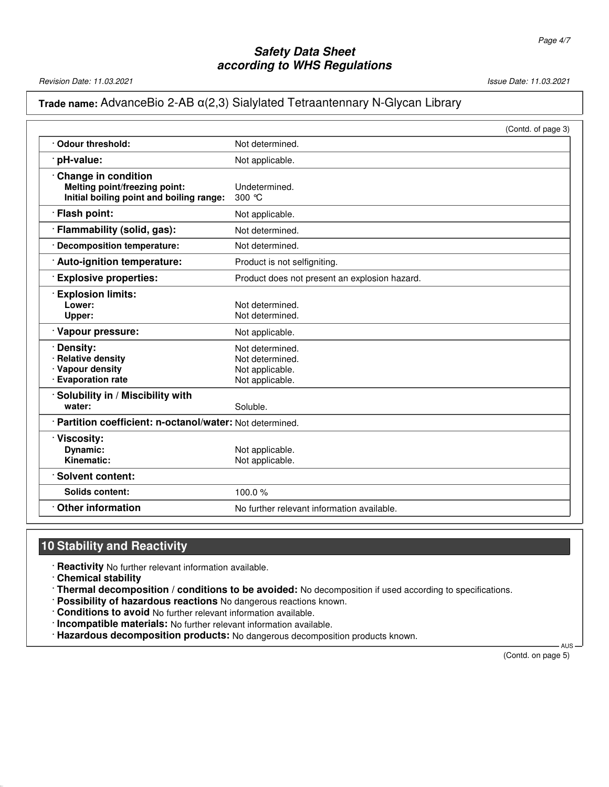Revision Date: 11.03.2021 Issue Date: 11.03.2021

# **Trade name:** AdvanceBio 2-AB α(2,3) Sialylated Tetraantennary N-Glycan Library

|                                                                                                         | (Contd. of page 3)                                                       |
|---------------------------------------------------------------------------------------------------------|--------------------------------------------------------------------------|
| Odour threshold:                                                                                        | Not determined.                                                          |
| pH-value:                                                                                               | Not applicable.                                                          |
| <b>Change in condition</b><br>Melting point/freezing point:<br>Initial boiling point and boiling range: | Undetermined.<br>300 $\degree$ C                                         |
| · Flash point:                                                                                          | Not applicable.                                                          |
| · Flammability (solid, gas):                                                                            | Not determined.                                                          |
| <b>Decomposition temperature:</b>                                                                       | Not determined.                                                          |
| Auto-ignition temperature:                                                                              | Product is not selfigniting.                                             |
| <b>Explosive properties:</b>                                                                            | Product does not present an explosion hazard.                            |
| <b>Explosion limits:</b><br>Lower:<br>Upper:                                                            | Not determined.<br>Not determined.                                       |
| · Vapour pressure:                                                                                      | Not applicable.                                                          |
| Density:<br><b>Relative density</b><br>· Vapour density<br><b>Evaporation rate</b>                      | Not determined.<br>Not determined.<br>Not applicable.<br>Not applicable. |
| Solubility in / Miscibility with<br>water:                                                              | Soluble.                                                                 |
| · Partition coefficient: n-octanol/water: Not determined.                                               |                                                                          |
| Viscosity:<br>Dynamic:<br>Kinematic:                                                                    | Not applicable.<br>Not applicable.                                       |
| Solvent content:                                                                                        |                                                                          |
| <b>Solids content:</b>                                                                                  | 100.0%                                                                   |
| <b>Other information</b>                                                                                | No further relevant information available.                               |

# **10 Stability and Reactivity**

· **Reactivity** No further relevant information available.

· **Chemical stability**

52.0.1.1

· **Thermal decomposition / conditions to be avoided:** No decomposition if used according to specifications.

- · **Possibility of hazardous reactions** No dangerous reactions known.
- · **Conditions to avoid** No further relevant information available.
- · **Incompatible materials:** No further relevant information available.
- · **Hazardous decomposition products:** No dangerous decomposition products known.

 AUS (Contd. on page 5)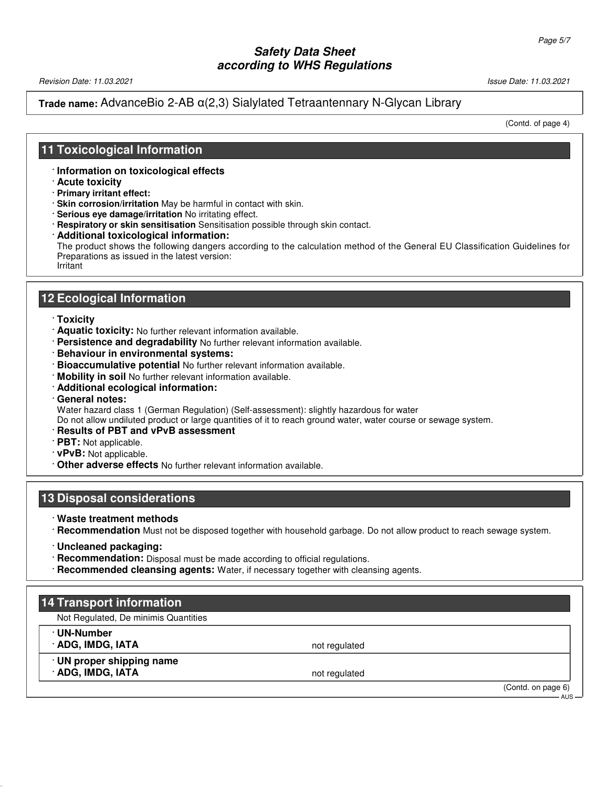Revision Date: 11.03.2021 **Issue Date: 11.03.2021** Issue Date: 11.03.2021

### **Trade name:** AdvanceBio 2-AB α(2,3) Sialylated Tetraantennary N-Glycan Library

(Contd. of page 4)

### **11 Toxicological Information**

- · **Information on toxicological effects**
- · **Acute toxicity**
- · **Primary irritant effect:**
- · **Skin corrosion/irritation** May be harmful in contact with skin.
- · **Serious eye damage/irritation** No irritating effect.
- · **Respiratory or skin sensitisation** Sensitisation possible through skin contact.
- · **Additional toxicological information:**

The product shows the following dangers according to the calculation method of the General EU Classification Guidelines for Preparations as issued in the latest version: Irritant

#### **12 Ecological Information**

- · **Toxicity**
- · **Aquatic toxicity:** No further relevant information available.
- · **Persistence and degradability** No further relevant information available.
- · **Behaviour in environmental systems:**
- · **Bioaccumulative potential** No further relevant information available.
- · **Mobility in soil** No further relevant information available.
- · **Additional ecological information:**
- · **General notes:**

Water hazard class 1 (German Regulation) (Self-assessment): slightly hazardous for water

Do not allow undiluted product or large quantities of it to reach ground water, water course or sewage system.

- · **Results of PBT and vPvB assessment**
- · **PBT:** Not applicable.
- · **vPvB:** Not applicable.
- · **Other adverse effects** No further relevant information available.

#### **13 Disposal considerations**

- · **Waste treatment methods**
- · **Recommendation** Must not be disposed together with household garbage. Do not allow product to reach sewage system.
- · **Uncleaned packaging:**

52.0.1.1

- · **Recommendation:** Disposal must be made according to official regulations.
- · **Recommended cleansing agents:** Water, if necessary together with cleansing agents.

# **14 Transport information** Not Regulated, De minimis Quantities · **UN-Number ADG, IMDG, IATA** not regulated · **UN proper shipping name** ADG, IMDG, IATA (Contd. on page 6)  $AllS$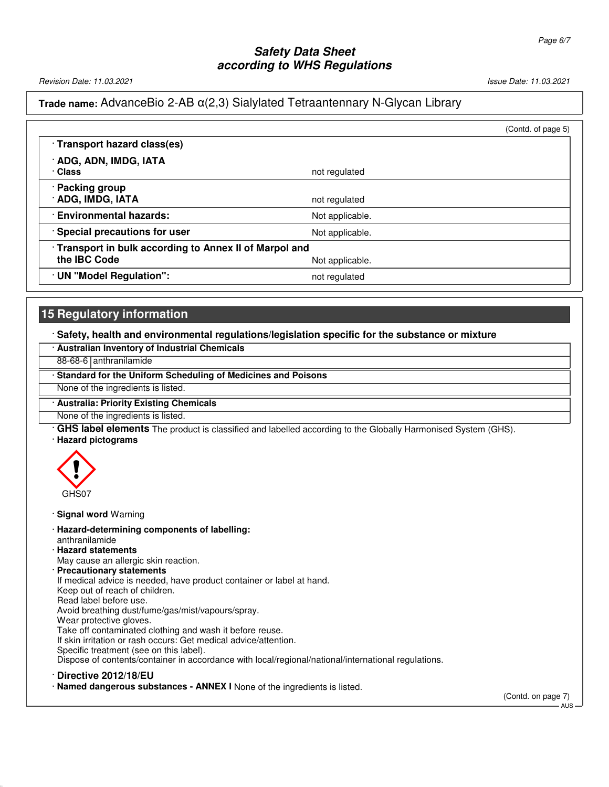Revision Date: 11.03.2021 **Issue Date: 11.03.2021** Issue Date: 11.03.2021

#### **Trade name:** AdvanceBio 2-AB α(2,3) Sialylated Tetraantennary N-Glycan Library

|                                                       |                 | (Contd. of page 5) |
|-------------------------------------------------------|-----------------|--------------------|
| · Transport hazard class(es)                          |                 |                    |
| · ADG, ADN, IMDG, IATA<br>· Class                     | not regulated   |                    |
| <b>Packing group</b>                                  |                 |                    |
| · ADG, IMDG, IATA                                     | not regulated   |                    |
| <b>Environmental hazards:</b>                         | Not applicable. |                    |
| · Special precautions for user                        | Not applicable. |                    |
| Transport in bulk according to Annex II of Marpol and |                 |                    |
| the IBC Code                                          | Not applicable. |                    |
| · UN "Model Regulation":                              | not regulated   |                    |

# **15 Regulatory information**

#### · **Safety, health and environmental regulations/legislation specific for the substance or mixture**

| · Australian Inventory of Industrial Chemicals                 |
|----------------------------------------------------------------|
| 88-68-6 anthranilamide                                         |
| • Standard for the Uniform Scheduling of Medicines and Poisons |
| None of the ingredients is listed.                             |
| · Australia: Priority Existing Chemicals                       |
| None of the ingredients is listed.                             |

· **GHS label elements** The product is classified and labelled according to the Globally Harmonised System (GHS). · **Hazard pictograms**



- · **Signal word** Warning
- · **Hazard-determining components of labelling:**
- anthranilamide
- · **Hazard statements**
- May cause an allergic skin reaction.
- · **Precautionary statements**

If medical advice is needed, have product container or label at hand.

- Keep out of reach of children.
- Read label before use.
- Avoid breathing dust/fume/gas/mist/vapours/spray.
- Wear protective gloves.

Take off contaminated clothing and wash it before reuse.

If skin irritation or rash occurs: Get medical advice/attention.

Specific treatment (see on this label).

Dispose of contents/container in accordance with local/regional/national/international regulations.

· **Directive 2012/18/EU**

52.0.1.1

· **Named dangerous substances - ANNEX I** None of the ingredients is listed.

(Contd. on page 7)